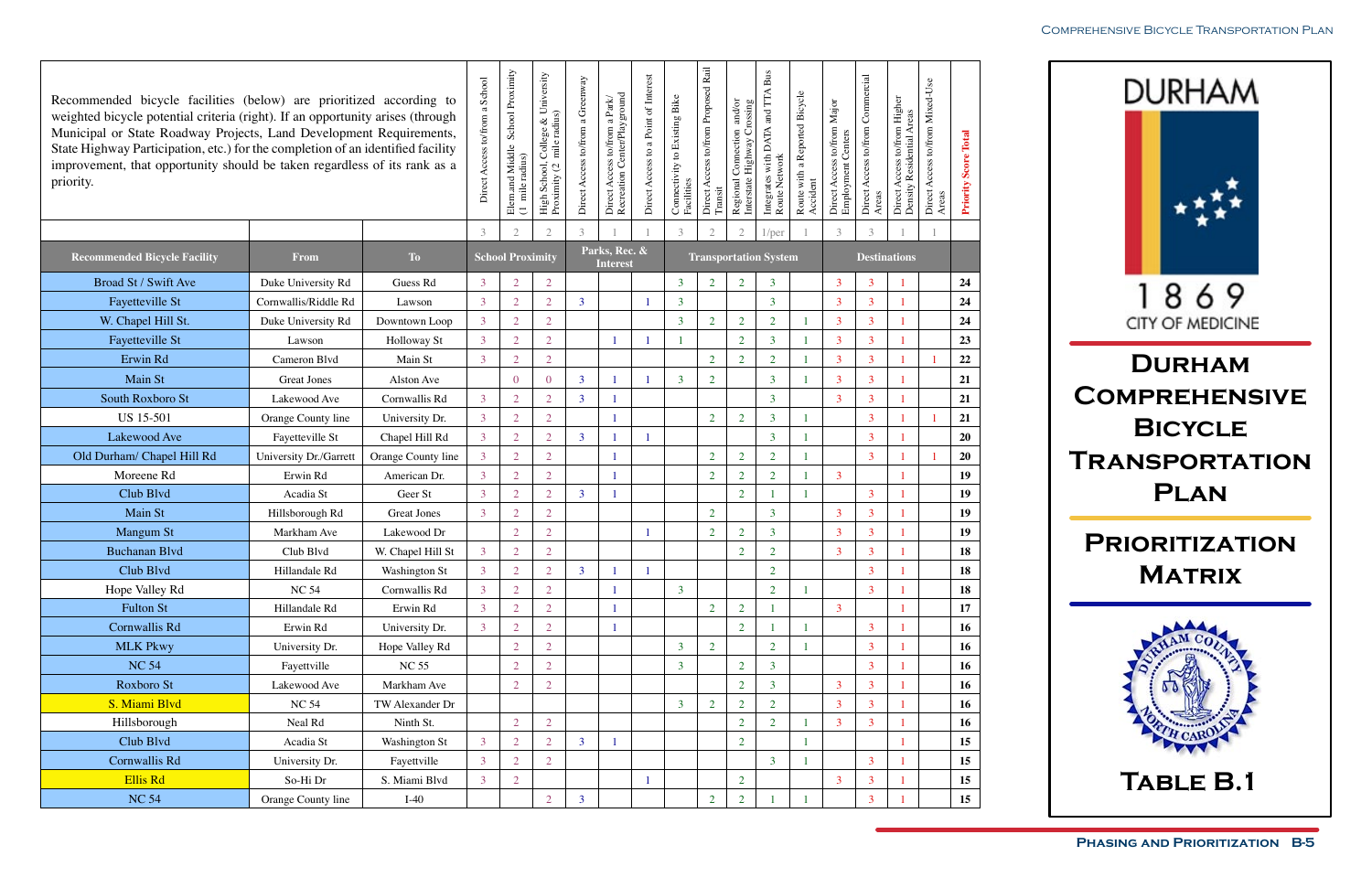## Comprehensive Bicycle Transportation Plan

**Phasing and Prioritization B-5**



| Recommended bicycle facilities (below) are prioritized according to<br>weighted bicycle potential criteria (right). If an opportunity arises (through<br>Municipal or State Roadway Projects, Land Development Requirements,<br>State Highway Participation, etc.) for the completion of an identified facility<br>improvement, that opportunity should be taken regardless of its rank as a<br>priority. |                          |                      | Direct Access to/from a School | School Proximity<br>Elem.and Middle<br>(1 mile radius)      | High School, College & University<br>Proximity (2 mile radius) | Direct Access to/from a Greenway | Direct Access to/from a Park/<br>Recreation Center/Playground | Direct Access to a Point of Interest | Connectivity to Existing Bike<br>Facilities | Direct Access to/from Proposed Rail<br>Transit | Regional Connection and/or<br>Interstate Highway Crossing | Integrates with DATA and TTA Bus<br>Route Network | Route with a Reported Bicycle<br>Accident | Direct Access to/from Major<br><b>Employment Centers</b> | Direct Access to/from Commercial<br>Areas | Direct Access to/from Higher<br>Density Residential Areas | Direct Access to/from Mixed-Use<br>Areas | <b>Priority Score Total</b> |
|-----------------------------------------------------------------------------------------------------------------------------------------------------------------------------------------------------------------------------------------------------------------------------------------------------------------------------------------------------------------------------------------------------------|--------------------------|----------------------|--------------------------------|-------------------------------------------------------------|----------------------------------------------------------------|----------------------------------|---------------------------------------------------------------|--------------------------------------|---------------------------------------------|------------------------------------------------|-----------------------------------------------------------|---------------------------------------------------|-------------------------------------------|----------------------------------------------------------|-------------------------------------------|-----------------------------------------------------------|------------------------------------------|-----------------------------|
|                                                                                                                                                                                                                                                                                                                                                                                                           |                          |                      | 3                              | $\overline{2}$                                              | $\sqrt{2}$                                                     | 3                                |                                                               |                                      | 3                                           | $\mathfrak{2}$                                 | $\mathfrak{2}$                                            | 1/per                                             |                                           | 3                                                        | 3                                         |                                                           |                                          |                             |
| <b>Recommended Bicycle Facility</b>                                                                                                                                                                                                                                                                                                                                                                       | <b>From</b><br><b>To</b> |                      |                                | Parks, Rec. &<br><b>School Proximity</b><br><b>Interest</b> |                                                                |                                  | <b>Transportation System</b>                                  |                                      |                                             |                                                |                                                           |                                                   | <b>Destinations</b>                       |                                                          |                                           |                                                           |                                          |                             |
| Broad St / Swift Ave                                                                                                                                                                                                                                                                                                                                                                                      | Duke University Rd       | Guess Rd             | 3                              | $\overline{2}$                                              | $\overline{2}$                                                 |                                  |                                                               |                                      | $\overline{3}$                              | $\overline{2}$                                 | $\overline{2}$                                            | $\mathfrak{Z}$                                    |                                           | 3                                                        | $\overline{3}$                            |                                                           |                                          | 24                          |
| <b>Fayetteville St</b>                                                                                                                                                                                                                                                                                                                                                                                    | Cornwallis/Riddle Rd     | Lawson               | 3                              | $\overline{2}$                                              | $\overline{2}$                                                 | 3                                |                                                               |                                      | 3                                           |                                                |                                                           | 3                                                 |                                           | 3                                                        | $\overline{3}$                            |                                                           |                                          | 24                          |
| W. Chapel Hill St.                                                                                                                                                                                                                                                                                                                                                                                        | Duke University Rd       | Downtown Loop        | $\overline{3}$                 | $\overline{2}$                                              | $\overline{2}$                                                 |                                  |                                                               |                                      | $\mathbf{3}$                                | $\overline{2}$                                 | $\overline{2}$                                            | $\overline{2}$                                    |                                           | 3                                                        | $\overline{3}$                            |                                                           |                                          | 24                          |
| Fayetteville St                                                                                                                                                                                                                                                                                                                                                                                           | Lawson                   | <b>Holloway St</b>   | 3                              | $\overline{2}$                                              | $\overline{2}$                                                 |                                  |                                                               |                                      |                                             |                                                | $\overline{2}$                                            | $\overline{3}$                                    |                                           | 3                                                        | $\overline{3}$                            |                                                           |                                          | 23                          |
| Erwin Rd                                                                                                                                                                                                                                                                                                                                                                                                  | Cameron Blvd             | Main St              | 3                              | $\overline{2}$                                              | $\overline{2}$                                                 |                                  |                                                               |                                      |                                             | $\overline{2}$                                 | $\overline{2}$                                            | $\overline{2}$                                    |                                           | 3                                                        | $\overline{3}$                            |                                                           |                                          | 22                          |
| Main St                                                                                                                                                                                                                                                                                                                                                                                                   | <b>Great Jones</b>       | Alston Ave           |                                | $\overline{0}$                                              | $\mathbf{0}$                                                   | $\mathbf{3}$                     |                                                               |                                      | $\overline{3}$                              | $\overline{2}$                                 |                                                           | 3                                                 |                                           | 3                                                        | $\overline{3}$                            |                                                           |                                          | 21                          |
| South Roxboro St                                                                                                                                                                                                                                                                                                                                                                                          | Lakewood Ave             | Cornwallis Rd        | 3                              | $\overline{2}$                                              | $\overline{2}$                                                 | $\overline{3}$                   |                                                               |                                      |                                             |                                                |                                                           | $\overline{3}$                                    |                                           | 3                                                        | $\overline{3}$                            |                                                           |                                          | 21                          |
| <b>US 15-501</b>                                                                                                                                                                                                                                                                                                                                                                                          | Orange County line       | University Dr.       | 3                              | $\overline{2}$                                              | $\overline{2}$                                                 |                                  |                                                               |                                      |                                             | $\overline{2}$                                 | $\overline{2}$                                            | $\overline{3}$                                    |                                           |                                                          | $\overline{3}$                            |                                                           |                                          | 21                          |
| Lakewood Ave                                                                                                                                                                                                                                                                                                                                                                                              | Fayetteville St          | Chapel Hill Rd       | $\overline{3}$                 | $\overline{2}$                                              | $\overline{2}$                                                 | $\overline{3}$                   |                                                               |                                      |                                             |                                                |                                                           | $\overline{3}$                                    |                                           |                                                          | $\overline{3}$                            |                                                           |                                          | 20                          |
| Old Durham/ Chapel Hill Rd                                                                                                                                                                                                                                                                                                                                                                                | University Dr./Garrett   | Orange County line   | 3                              | $\overline{2}$                                              | $\overline{2}$                                                 |                                  |                                                               |                                      |                                             | $\overline{2}$                                 | $\overline{2}$                                            | $\overline{2}$                                    |                                           |                                                          | $\overline{3}$                            |                                                           |                                          | 20                          |
| Moreene Rd                                                                                                                                                                                                                                                                                                                                                                                                | Erwin Rd                 | American Dr.         | 3                              | $\overline{2}$                                              | $\overline{2}$                                                 |                                  |                                                               |                                      |                                             | $\overline{2}$                                 | $\overline{2}$                                            | $\overline{2}$                                    |                                           | 3                                                        |                                           |                                                           |                                          | 19                          |
| Club Blvd                                                                                                                                                                                                                                                                                                                                                                                                 | Acadia St                | Geer St              | 3                              | $\overline{2}$                                              | $\overline{2}$                                                 | $\overline{3}$                   |                                                               |                                      |                                             |                                                | $\overline{2}$                                            |                                                   |                                           |                                                          | $\overline{3}$                            |                                                           |                                          | 19                          |
| Main St                                                                                                                                                                                                                                                                                                                                                                                                   | Hillsborough Rd          | <b>Great Jones</b>   | 3                              | $\overline{2}$                                              | $\overline{2}$                                                 |                                  |                                                               |                                      |                                             | $\overline{2}$                                 |                                                           | $\overline{3}$                                    |                                           | 3                                                        | $\overline{3}$                            |                                                           |                                          | 19                          |
| Mangum St                                                                                                                                                                                                                                                                                                                                                                                                 | Markham Ave              | Lakewood Dr          |                                | $\overline{2}$                                              | $\overline{2}$                                                 |                                  |                                                               |                                      |                                             | $\overline{2}$                                 | $\overline{2}$                                            | $\overline{3}$                                    |                                           | 3                                                        | $\overline{3}$                            |                                                           |                                          | 19                          |
| <b>Buchanan Blvd</b>                                                                                                                                                                                                                                                                                                                                                                                      | Club Blvd                | W. Chapel Hill St    | 3                              | $\overline{2}$                                              | $\overline{2}$                                                 |                                  |                                                               |                                      |                                             |                                                | $\overline{2}$                                            | $\overline{2}$                                    |                                           | 3                                                        | 3                                         |                                                           |                                          | 18                          |
| Club Blvd                                                                                                                                                                                                                                                                                                                                                                                                 | Hillandale Rd            | Washington St        | 3                              | $\overline{2}$                                              | $\overline{2}$                                                 | $\overline{3}$                   |                                                               |                                      |                                             |                                                |                                                           | $\overline{2}$                                    |                                           |                                                          | $\overline{3}$                            |                                                           |                                          | 18                          |
| Hope Valley Rd                                                                                                                                                                                                                                                                                                                                                                                            | <b>NC 54</b>             | Cornwallis Rd        | 3                              | $\overline{2}$                                              | $\overline{2}$                                                 |                                  |                                                               |                                      | $\overline{3}$                              |                                                |                                                           | $\overline{2}$                                    |                                           |                                                          | $\overline{3}$                            |                                                           |                                          | 18                          |
| <b>Fulton St</b>                                                                                                                                                                                                                                                                                                                                                                                          | Hillandale Rd            | Erwin Rd             | 3                              | $\overline{2}$                                              | $\overline{2}$                                                 |                                  |                                                               |                                      |                                             | $\overline{2}$                                 | $\overline{2}$                                            |                                                   |                                           | $\overline{3}$                                           |                                           |                                                           |                                          | 17                          |
| Cornwallis Rd                                                                                                                                                                                                                                                                                                                                                                                             | Erwin Rd                 | University Dr.       | $\overline{3}$                 | $\overline{2}$                                              | $\overline{2}$                                                 |                                  |                                                               |                                      |                                             |                                                | $\overline{2}$                                            |                                                   |                                           |                                                          | $\overline{3}$                            |                                                           |                                          | 16                          |
| <b>MLK Pkwy</b>                                                                                                                                                                                                                                                                                                                                                                                           | University Dr.           | Hope Valley Rd       |                                | $\overline{2}$                                              | $\overline{2}$                                                 |                                  |                                                               |                                      | $\mathbf{3}$                                | $\overline{2}$                                 |                                                           | $\overline{2}$                                    |                                           |                                                          | $\overline{3}$                            |                                                           |                                          | 16                          |
| <b>NC 54</b>                                                                                                                                                                                                                                                                                                                                                                                              | Fayettville              | <b>NC 55</b>         |                                | $\overline{2}$                                              | $\overline{2}$                                                 |                                  |                                                               |                                      | $\mathbf{3}$                                |                                                | $\overline{2}$                                            | $\overline{3}$                                    |                                           |                                                          | $\overline{3}$                            |                                                           |                                          | <b>16</b>                   |
| Roxboro St                                                                                                                                                                                                                                                                                                                                                                                                | Lakewood Ave             | Markham Ave          |                                | $\overline{2}$                                              | $\overline{2}$                                                 |                                  |                                                               |                                      |                                             |                                                | $\overline{2}$                                            | 3                                                 |                                           | 3                                                        | $\overline{3}$                            |                                                           |                                          | 16                          |
| S. Miami Blvd                                                                                                                                                                                                                                                                                                                                                                                             | <b>NC 54</b>             | TW Alexander Dr      |                                |                                                             |                                                                |                                  |                                                               |                                      | $\overline{3}$                              | $\overline{2}$                                 | $\overline{2}$                                            | $\overline{2}$                                    |                                           | 3                                                        | $\overline{3}$                            |                                                           |                                          | 16                          |
| Hillsborough                                                                                                                                                                                                                                                                                                                                                                                              | Neal Rd                  | Ninth St.            |                                | $\overline{2}$                                              | $\overline{2}$                                                 |                                  |                                                               |                                      |                                             |                                                | $\overline{2}$                                            | $\overline{2}$                                    |                                           | 3                                                        | $\overline{3}$                            |                                                           |                                          | 16                          |
| Club Blvd                                                                                                                                                                                                                                                                                                                                                                                                 | Acadia St                | <b>Washington St</b> | $\overline{3}$                 | $\overline{2}$                                              | $\overline{2}$                                                 | $\overline{3}$                   |                                                               |                                      |                                             |                                                | $\overline{2}$                                            |                                                   |                                           |                                                          |                                           |                                                           |                                          | 15                          |
| Cornwallis Rd                                                                                                                                                                                                                                                                                                                                                                                             | University Dr.           | Fayettville          | $\overline{3}$                 | $\overline{2}$                                              | $\overline{2}$                                                 |                                  |                                                               |                                      |                                             |                                                |                                                           | $\overline{3}$                                    |                                           |                                                          | $\overline{3}$                            |                                                           |                                          | 15                          |
| <b>Ellis Rd</b>                                                                                                                                                                                                                                                                                                                                                                                           | So-Hi Dr                 | S. Miami Blvd        | 3                              | $\overline{2}$                                              |                                                                |                                  |                                                               | -1                                   |                                             |                                                | $\overline{2}$                                            |                                                   |                                           | $\overline{3}$                                           | $\overline{3}$                            |                                                           |                                          | 15                          |
| <b>NC 54</b>                                                                                                                                                                                                                                                                                                                                                                                              | Orange County line       | $I-40$               |                                |                                                             | $\overline{2}$                                                 | $\mathbf{3}$                     |                                                               |                                      |                                             | $\overline{2}$                                 | $\overline{2}$                                            |                                                   |                                           |                                                          | $\overline{3}$                            |                                                           |                                          | 15                          |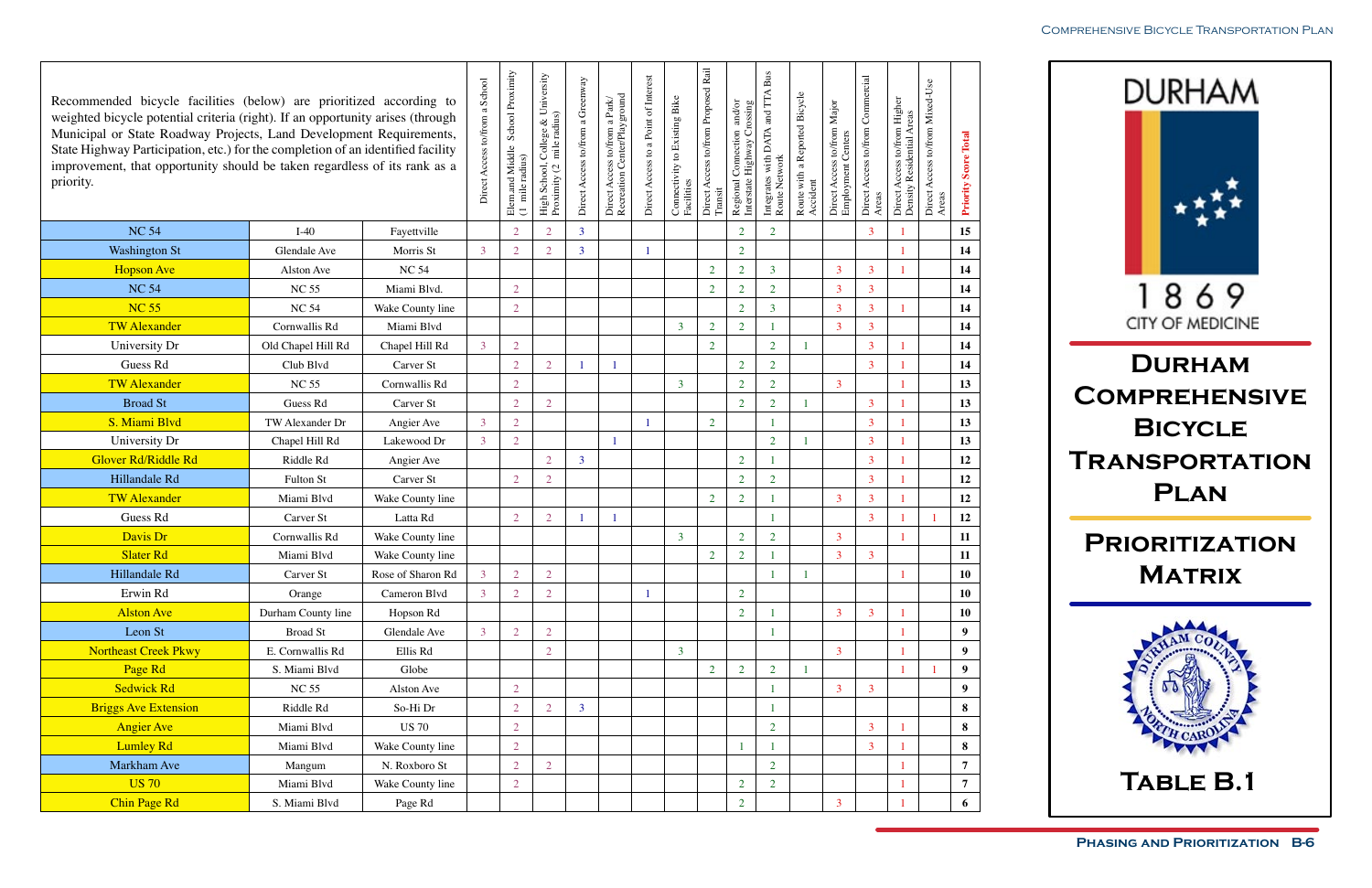## Comprehensive Bicycle Transportation Plan

**Phasing and Prioritization B-6**



| Recommended bicycle facilities (below) are prioritized according to<br>weighted bicycle potential criteria (right). If an opportunity arises (through<br>Municipal or State Roadway Projects, Land Development Requirements,<br>State Highway Participation, etc.) for the completion of an identified facility<br>improvement, that opportunity should be taken regardless of its rank as a |                    |                   | Direct Access to/from a School | School Proximity                   | High School, College & University<br>Proximity (2 mile radius) | Direct Access to/from a Greenway | Direct Access to/from a Park/<br>Recreation Center/Playground | Direct Access to a Point of Interest | Connectivity to Existing Bike | Direct Access to/from Proposed Rail | Regional Connection and/or<br>Interstate Highway Crossing | Integrates with DATA and TTA Bus | Route with a Reported Bicycle | Direct Access to/from Major<br>Employment Centers | Direct Access to/from Commercial | Direct Access to/from Higher<br>Density Residential Areas | Direct Access to/from Mixed-Use | <b>Priority Score Total</b> |
|----------------------------------------------------------------------------------------------------------------------------------------------------------------------------------------------------------------------------------------------------------------------------------------------------------------------------------------------------------------------------------------------|--------------------|-------------------|--------------------------------|------------------------------------|----------------------------------------------------------------|----------------------------------|---------------------------------------------------------------|--------------------------------------|-------------------------------|-------------------------------------|-----------------------------------------------------------|----------------------------------|-------------------------------|---------------------------------------------------|----------------------------------|-----------------------------------------------------------|---------------------------------|-----------------------------|
| priority.                                                                                                                                                                                                                                                                                                                                                                                    |                    |                   |                                | Elem.and Middle<br>(1 mile radius) |                                                                |                                  |                                                               |                                      | Facilities                    | Transit                             |                                                           | Route Network                    | Accident                      |                                                   | Areas                            |                                                           | Areas                           |                             |
| <b>NC 54</b>                                                                                                                                                                                                                                                                                                                                                                                 | $I-40$             | Fayettville       |                                | $\overline{2}$                     | $\overline{2}$                                                 | $\mathbf{3}$                     |                                                               |                                      |                               |                                     | $\overline{2}$                                            | $\overline{2}$                   |                               |                                                   | $\overline{3}$                   |                                                           |                                 | 15                          |
| <b>Washington St</b>                                                                                                                                                                                                                                                                                                                                                                         | Glendale Ave       | Morris St         | 3                              | $\overline{2}$                     | $\overline{2}$                                                 | $\overline{3}$                   |                                                               | $\vert$                              |                               |                                     | $\overline{2}$                                            |                                  |                               |                                                   |                                  |                                                           |                                 | 14                          |
| <b>Hopson Ave</b>                                                                                                                                                                                                                                                                                                                                                                            | Alston Ave         | <b>NC 54</b>      |                                |                                    |                                                                |                                  |                                                               |                                      |                               | $\overline{2}$                      | $\overline{2}$                                            | $\overline{3}$                   |                               | 3                                                 | $\overline{3}$                   |                                                           |                                 | 14                          |
| <b>NC 54</b>                                                                                                                                                                                                                                                                                                                                                                                 | <b>NC 55</b>       | Miami Blvd.       |                                | $\overline{2}$                     |                                                                |                                  |                                                               |                                      |                               | $\overline{2}$                      | $\overline{2}$                                            | $\overline{2}$                   |                               | 3                                                 | $\overline{3}$                   |                                                           |                                 | 14                          |
| <b>NC 55</b>                                                                                                                                                                                                                                                                                                                                                                                 | <b>NC 54</b>       | Wake County line  |                                | $\overline{2}$                     |                                                                |                                  |                                                               |                                      |                               |                                     | $\overline{2}$                                            | $\overline{3}$                   |                               | 3                                                 | $\overline{3}$                   |                                                           |                                 | 14                          |
| <b>TW Alexander</b>                                                                                                                                                                                                                                                                                                                                                                          | Cornwallis Rd      | Miami Blvd        |                                |                                    |                                                                |                                  |                                                               |                                      | $\overline{3}$                | $\overline{2}$                      | $\overline{2}$                                            |                                  |                               | 3                                                 | $\overline{3}$                   |                                                           |                                 | 14                          |
| University Dr                                                                                                                                                                                                                                                                                                                                                                                | Old Chapel Hill Rd | Chapel Hill Rd    | $\overline{3}$                 | $\overline{2}$                     |                                                                |                                  |                                                               |                                      |                               | $\overline{2}$                      |                                                           | $\overline{2}$                   |                               |                                                   | $\overline{3}$                   |                                                           |                                 | 14                          |
| Guess Rd                                                                                                                                                                                                                                                                                                                                                                                     | Club Blvd          | Carver St         |                                | $\overline{2}$                     | $\overline{2}$                                                 |                                  |                                                               |                                      |                               |                                     | $\overline{2}$                                            | $\overline{2}$                   |                               |                                                   | $\overline{3}$                   |                                                           |                                 | 14                          |
| <b>TW Alexander</b>                                                                                                                                                                                                                                                                                                                                                                          | <b>NC 55</b>       | Cornwallis Rd     |                                | $\overline{2}$                     |                                                                |                                  |                                                               |                                      | $\overline{3}$                |                                     | $\overline{2}$                                            | $\overline{2}$                   |                               | 3                                                 |                                  |                                                           |                                 | 13                          |
| <b>Broad St</b>                                                                                                                                                                                                                                                                                                                                                                              | Guess Rd           | Carver St         |                                | $\overline{2}$                     | $\overline{2}$                                                 |                                  |                                                               |                                      |                               |                                     | $\overline{2}$                                            | $\overline{2}$                   |                               |                                                   | $\overline{3}$                   |                                                           |                                 | 13                          |
| S. Miami Blvd                                                                                                                                                                                                                                                                                                                                                                                | TW Alexander Dr    | Angier Ave        | 3                              | $\overline{2}$                     |                                                                |                                  |                                                               | -1                                   |                               | $\overline{2}$                      |                                                           |                                  |                               |                                                   | $\overline{3}$                   |                                                           |                                 | 13                          |
| University Dr                                                                                                                                                                                                                                                                                                                                                                                | Chapel Hill Rd     | Lakewood Dr       | 3                              | $\overline{2}$                     |                                                                |                                  |                                                               |                                      |                               |                                     |                                                           | $\overline{2}$                   |                               |                                                   | $\overline{3}$                   |                                                           |                                 | 13                          |
| Glover Rd/Riddle Rd                                                                                                                                                                                                                                                                                                                                                                          | Riddle Rd          | Angier Ave        |                                |                                    | $\overline{2}$                                                 | $\mathbf{3}$                     |                                                               |                                      |                               |                                     | $\overline{2}$                                            |                                  |                               |                                                   | $\overline{3}$                   |                                                           |                                 | 12                          |
| Hillandale Rd                                                                                                                                                                                                                                                                                                                                                                                | Fulton St          | Carver St         |                                | $\overline{2}$                     | $\overline{2}$                                                 |                                  |                                                               |                                      |                               |                                     | $\overline{2}$                                            | $\overline{2}$                   |                               |                                                   | $\overline{3}$                   |                                                           |                                 | 12                          |
| <b>TW Alexander</b>                                                                                                                                                                                                                                                                                                                                                                          | Miami Blvd         | Wake County line  |                                |                                    |                                                                |                                  |                                                               |                                      |                               | $\overline{c}$                      | $\overline{2}$                                            |                                  |                               | 3                                                 | $\overline{3}$                   |                                                           |                                 | 12                          |
| Guess Rd                                                                                                                                                                                                                                                                                                                                                                                     | Carver St          | Latta Rd          |                                | $\overline{2}$                     | $\overline{2}$                                                 |                                  |                                                               |                                      |                               |                                     |                                                           |                                  |                               |                                                   | $\overline{3}$                   |                                                           |                                 | 12                          |
| Davis Dr                                                                                                                                                                                                                                                                                                                                                                                     | Cornwallis Rd      | Wake County line  |                                |                                    |                                                                |                                  |                                                               |                                      | $\overline{3}$                |                                     | $\overline{2}$                                            | $\overline{2}$                   |                               | 3                                                 |                                  |                                                           |                                 | 11                          |
| <b>Slater Rd</b>                                                                                                                                                                                                                                                                                                                                                                             | Miami Blvd         | Wake County line  |                                |                                    |                                                                |                                  |                                                               |                                      |                               | $\overline{2}$                      | $\overline{2}$                                            |                                  |                               | 3                                                 | $\overline{3}$                   |                                                           |                                 | 11                          |
| Hillandale Rd                                                                                                                                                                                                                                                                                                                                                                                | Carver St          | Rose of Sharon Rd | 3                              | $\overline{2}$                     | $\overline{2}$                                                 |                                  |                                                               |                                      |                               |                                     |                                                           |                                  |                               |                                                   |                                  |                                                           |                                 | 10                          |
| Erwin Rd                                                                                                                                                                                                                                                                                                                                                                                     | Orange             | Cameron Blvd      | 3                              | $\overline{2}$                     | $\overline{2}$                                                 |                                  |                                                               | -1                                   |                               |                                     | $\overline{2}$                                            |                                  |                               |                                                   |                                  |                                                           |                                 | 10                          |
| <b>Alston Ave</b>                                                                                                                                                                                                                                                                                                                                                                            | Durham County line | Hopson Rd         |                                |                                    |                                                                |                                  |                                                               |                                      |                               |                                     | $\overline{2}$                                            |                                  |                               | 3                                                 | $\overline{3}$                   |                                                           |                                 | 10                          |
| Leon St                                                                                                                                                                                                                                                                                                                                                                                      | <b>Broad St</b>    | Glendale Ave      | $\overline{3}$                 | $\overline{2}$                     | $\overline{2}$                                                 |                                  |                                                               |                                      |                               |                                     |                                                           |                                  |                               |                                                   |                                  |                                                           |                                 | $\boldsymbol{9}$            |
| <b>Northeast Creek Pkwy</b>                                                                                                                                                                                                                                                                                                                                                                  | E. Cornwallis Rd   | Ellis Rd          |                                |                                    | $\overline{2}$                                                 |                                  |                                                               |                                      | $\overline{3}$                |                                     |                                                           |                                  |                               | 3                                                 |                                  |                                                           |                                 | 9 <sup>1</sup>              |
| Page Rd                                                                                                                                                                                                                                                                                                                                                                                      | S. Miami Blvd      | Globe             |                                |                                    |                                                                |                                  |                                                               |                                      |                               | $\overline{2}$                      | $\overline{2}$                                            | $\overline{2}$                   |                               |                                                   |                                  |                                                           |                                 | 9 <sup>°</sup>              |
| <b>Sedwick Rd</b>                                                                                                                                                                                                                                                                                                                                                                            | <b>NC 55</b>       | Alston Ave        |                                | $\overline{2}$                     |                                                                |                                  |                                                               |                                      |                               |                                     |                                                           |                                  |                               | 3                                                 | $\overline{3}$                   |                                                           |                                 | 9 <sup>1</sup>              |
| <b>Briggs Ave Extension</b>                                                                                                                                                                                                                                                                                                                                                                  | Riddle Rd          | So-Hi Dr          |                                | $\overline{2}$                     | $\overline{2}$                                                 | $\mathbf{3}$                     |                                                               |                                      |                               |                                     |                                                           |                                  |                               |                                                   |                                  |                                                           |                                 | 8                           |
| <b>Angier Ave</b>                                                                                                                                                                                                                                                                                                                                                                            | Miami Blvd         | <b>US 70</b>      |                                | $\overline{2}$                     |                                                                |                                  |                                                               |                                      |                               |                                     |                                                           | $\overline{2}$                   |                               |                                                   | $\overline{3}$                   |                                                           |                                 | 8                           |
| <b>Lumley Rd</b>                                                                                                                                                                                                                                                                                                                                                                             | Miami Blvd         | Wake County line  |                                | $\overline{2}$                     |                                                                |                                  |                                                               |                                      |                               |                                     |                                                           |                                  |                               |                                                   | $\overline{3}$                   |                                                           |                                 | 8                           |
| Markham Ave                                                                                                                                                                                                                                                                                                                                                                                  | Mangum             | N. Roxboro St     |                                | $\overline{2}$                     | $\overline{2}$                                                 |                                  |                                                               |                                      |                               |                                     |                                                           | $\overline{2}$                   |                               |                                                   |                                  |                                                           |                                 | 7                           |
| <b>US 70</b>                                                                                                                                                                                                                                                                                                                                                                                 | Miami Blvd         | Wake County line  |                                | $\overline{2}$                     |                                                                |                                  |                                                               |                                      |                               |                                     | $\overline{2}$                                            | $\overline{2}$                   |                               |                                                   |                                  |                                                           |                                 | 7 <sup>7</sup>              |
| <b>Chin Page Rd</b>                                                                                                                                                                                                                                                                                                                                                                          | S. Miami Blvd      | Page Rd           |                                |                                    |                                                                |                                  |                                                               |                                      |                               |                                     | $\overline{2}$                                            |                                  |                               | $\overline{3}$                                    |                                  |                                                           |                                 | 6                           |